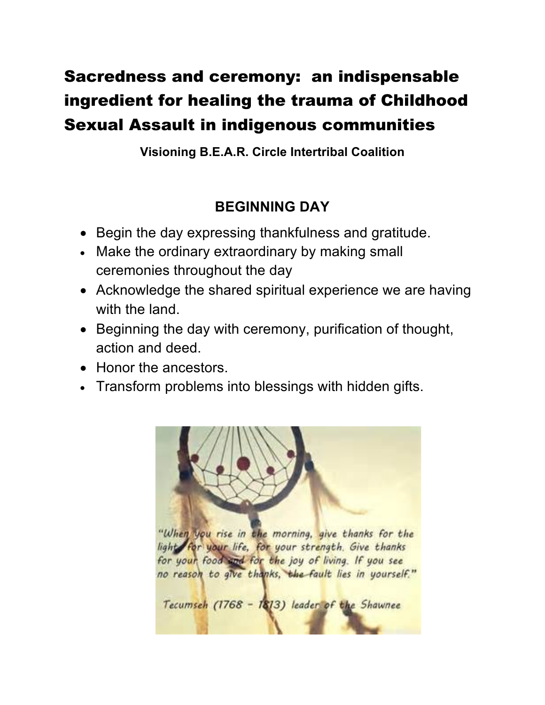# Sacredness and ceremony: an indispensable ingredient for healing the trauma of Childhood Sexual Assault in indigenous communities

**Visioning B.E.A.R. Circle Intertribal Coalition**

### **BEGINNING DAY**

- Begin the day expressing thankfulness and gratitude.
- Make the ordinary extraordinary by making small ceremonies throughout the day
- Acknowledge the shared spiritual experience we are having with the land.
- Beginning the day with ceremony, purification of thought, action and deed.
- Honor the ancestors.
- Transform problems into blessings with hidden gifts.

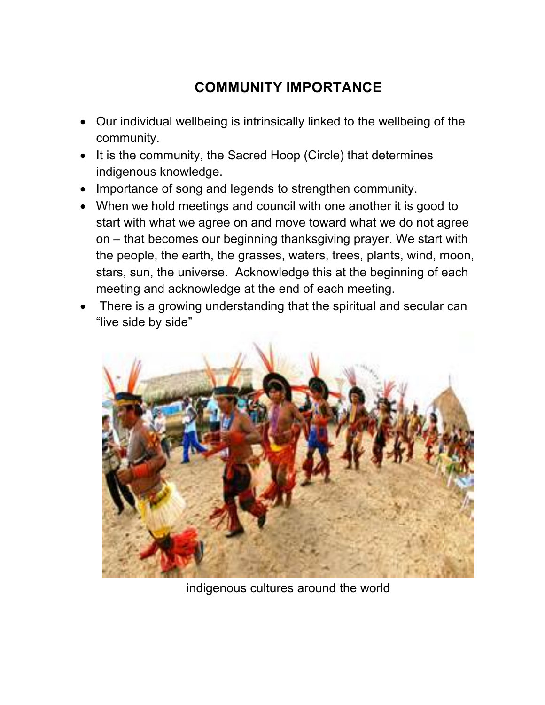# **COMMUNITY IMPORTANCE**

- Our individual wellbeing is intrinsically linked to the wellbeing of the community.
- It is the community, the Sacred Hoop (Circle) that determines indigenous knowledge.
- Importance of song and legends to strengthen community.
- When we hold meetings and council with one another it is good to start with what we agree on and move toward what we do not agree on – that becomes our beginning thanksgiving prayer. We start with the people, the earth, the grasses, waters, trees, plants, wind, moon, stars, sun, the universe. Acknowledge this at the beginning of each meeting and acknowledge at the end of each meeting.
- There is a growing understanding that the spiritual and secular can "live side by side"



indigenous cultures around the world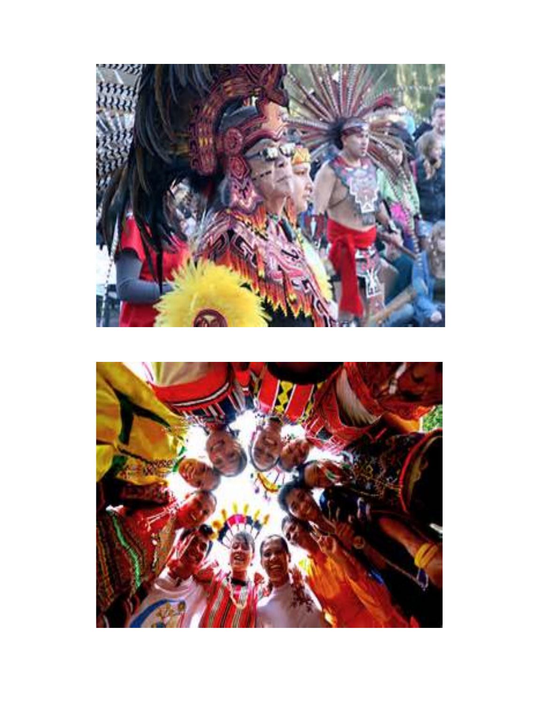

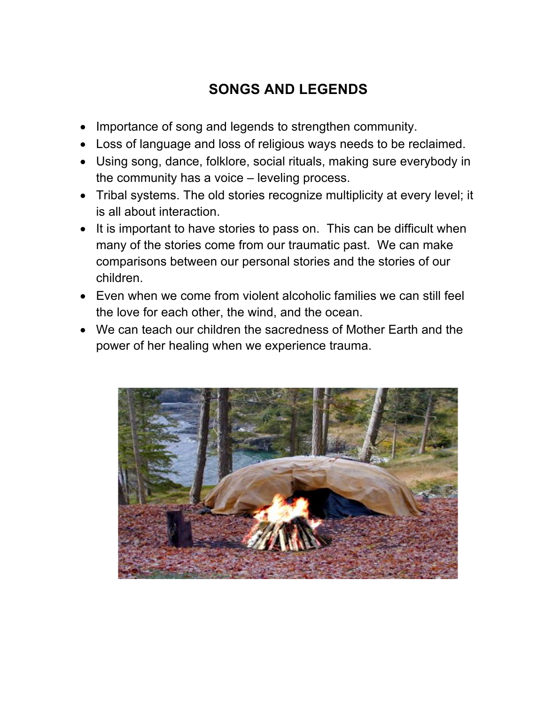### **SONGS AND LEGENDS**

- Importance of song and legends to strengthen community.
- Loss of language and loss of religious ways needs to be reclaimed.
- Using song, dance, folklore, social rituals, making sure everybody in the community has a voice – leveling process.
- Tribal systems. The old stories recognize multiplicity at every level; it is all about interaction.
- It is important to have stories to pass on. This can be difficult when many of the stories come from our traumatic past. We can make comparisons between our personal stories and the stories of our children.
- Even when we come from violent alcoholic families we can still feel the love for each other, the wind, and the ocean.
- We can teach our children the sacredness of Mother Earth and the power of her healing when we experience trauma.

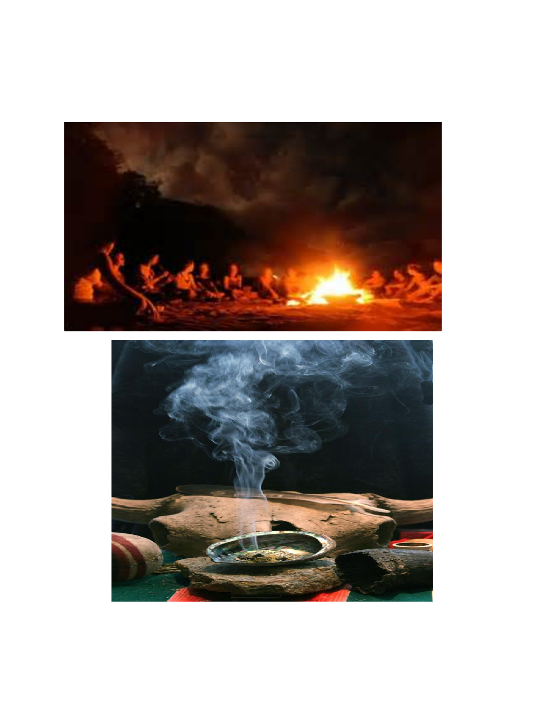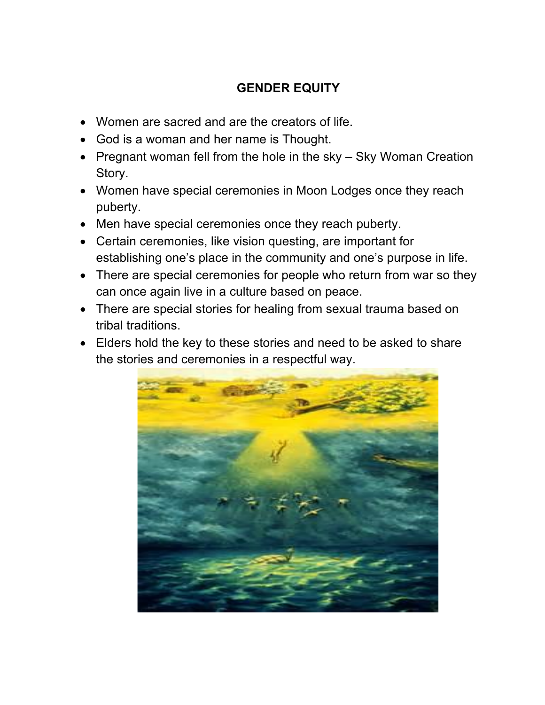#### **GENDER EQUITY**

- Women are sacred and are the creators of life.
- God is a woman and her name is Thought.
- Pregnant woman fell from the hole in the sky Sky Woman Creation Story.
- Women have special ceremonies in Moon Lodges once they reach puberty.
- Men have special ceremonies once they reach puberty.
- Certain ceremonies, like vision questing, are important for establishing one's place in the community and one's purpose in life.
- There are special ceremonies for people who return from war so they can once again live in a culture based on peace.
- There are special stories for healing from sexual trauma based on tribal traditions.
- Elders hold the key to these stories and need to be asked to share the stories and ceremonies in a respectful way.

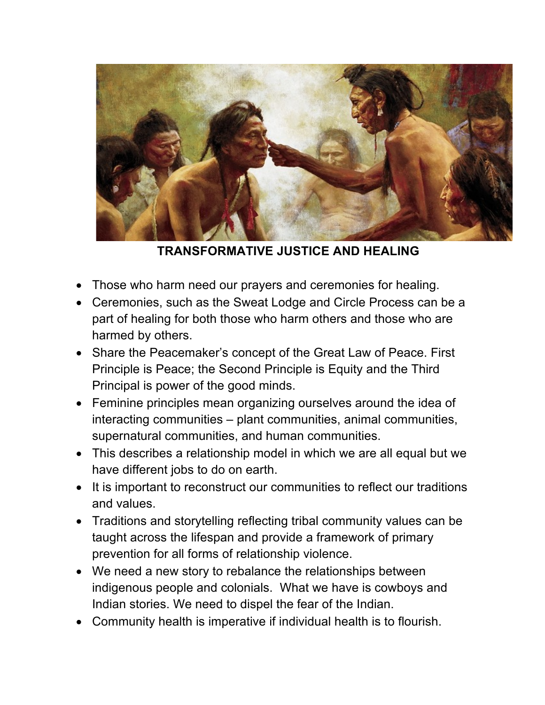

**TRANSFORMATIVE JUSTICE AND HEALING**

- Those who harm need our prayers and ceremonies for healing.
- Ceremonies, such as the Sweat Lodge and Circle Process can be a part of healing for both those who harm others and those who are harmed by others.
- Share the Peacemaker's concept of the Great Law of Peace. First Principle is Peace; the Second Principle is Equity and the Third Principal is power of the good minds.
- Feminine principles mean organizing ourselves around the idea of interacting communities – plant communities, animal communities, supernatural communities, and human communities.
- This describes a relationship model in which we are all equal but we have different jobs to do on earth.
- It is important to reconstruct our communities to reflect our traditions and values.
- Traditions and storytelling reflecting tribal community values can be taught across the lifespan and provide a framework of primary prevention for all forms of relationship violence.
- We need a new story to rebalance the relationships between indigenous people and colonials. What we have is cowboys and Indian stories. We need to dispel the fear of the Indian.
- Community health is imperative if individual health is to flourish.